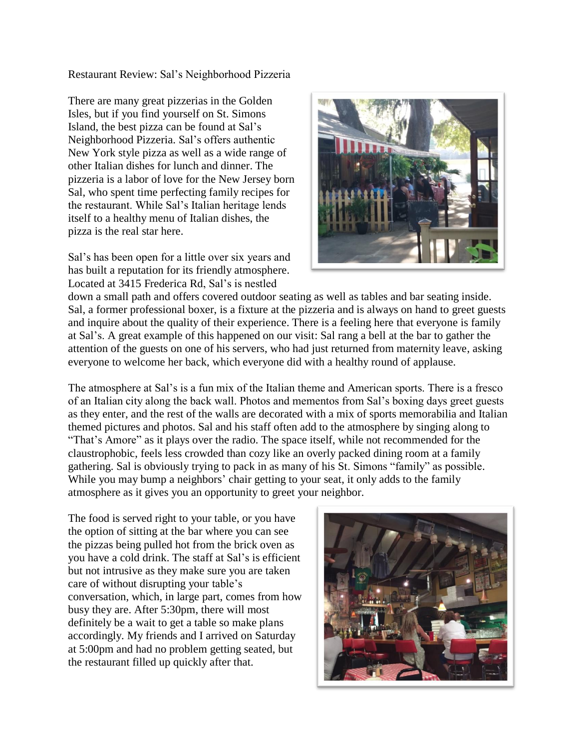Restaurant Review: Sal's Neighborhood Pizzeria

There are many great pizzerias in the Golden Isles, but if you find yourself on St. Simons Island, the best pizza can be found at Sal's Neighborhood Pizzeria. Sal's offers authentic New York style pizza as well as a wide range of other Italian dishes for lunch and dinner. The pizzeria is a labor of love for the New Jersey born Sal, who spent time perfecting family recipes for the restaurant. While Sal's Italian heritage lends itself to a healthy menu of Italian dishes, the pizza is the real star here.

Sal's has been open for a little over six years and has built a reputation for its friendly atmosphere. Located at 3415 Frederica Rd, Sal's is nestled



down a small path and offers covered outdoor seating as well as tables and bar seating inside. Sal, a former professional boxer, is a fixture at the pizzeria and is always on hand to greet guests and inquire about the quality of their experience. There is a feeling here that everyone is family at Sal's. A great example of this happened on our visit: Sal rang a bell at the bar to gather the attention of the guests on one of his servers, who had just returned from maternity leave, asking everyone to welcome her back, which everyone did with a healthy round of applause.

The atmosphere at Sal's is a fun mix of the Italian theme and American sports. There is a fresco of an Italian city along the back wall. Photos and mementos from Sal's boxing days greet guests as they enter, and the rest of the walls are decorated with a mix of sports memorabilia and Italian themed pictures and photos. Sal and his staff often add to the atmosphere by singing along to "That's Amore" as it plays over the radio. The space itself, while not recommended for the claustrophobic, feels less crowded than cozy like an overly packed dining room at a family gathering. Sal is obviously trying to pack in as many of his St. Simons "family" as possible. While you may bump a neighbors' chair getting to your seat, it only adds to the family atmosphere as it gives you an opportunity to greet your neighbor.

The food is served right to your table, or you have the option of sitting at the bar where you can see the pizzas being pulled hot from the brick oven as you have a cold drink. The staff at Sal's is efficient but not intrusive as they make sure you are taken care of without disrupting your table's conversation, which, in large part, comes from how busy they are. After 5:30pm, there will most definitely be a wait to get a table so make plans accordingly. My friends and I arrived on Saturday at 5:00pm and had no problem getting seated, but the restaurant filled up quickly after that.